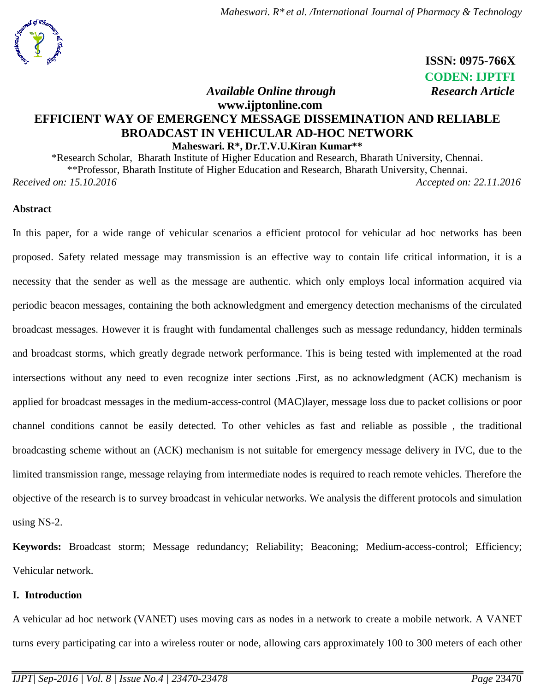

 **ISSN: 0975-766X CODEN: IJPTFI** *Available Online through* Research Article

## **www.ijptonline.com EFFICIENT WAY OF EMERGENCY MESSAGE DISSEMINATION AND RELIABLE BROADCAST IN VEHICULAR AD-HOC NETWORK Maheswari. R\*, Dr.T.V.U.Kiran Kumar\*\***

\*Research Scholar, Bharath Institute of Higher Education and Research, Bharath University, Chennai. \*\*Professor, Bharath Institute of Higher Education and Research, Bharath University, Chennai. *Received on: 15.10.2016 Accepted on: 22.11.2016*

### **Abstract**

In this paper, for a wide range of vehicular scenarios a efficient protocol for vehicular ad hoc networks has been proposed. Safety related message may transmission is an effective way to contain life critical information, it is a necessity that the sender as well as the message are authentic. which only employs local information acquired via periodic beacon messages, containing the both acknowledgment and emergency detection mechanisms of the circulated broadcast messages. However it is fraught with fundamental challenges such as message redundancy, hidden terminals and broadcast storms, which greatly degrade network performance. This is being tested with implemented at the road intersections without any need to even recognize inter sections .First, as no acknowledgment (ACK) mechanism is applied for broadcast messages in the medium-access-control (MAC)layer, message loss due to packet collisions or poor channel conditions cannot be easily detected. To other vehicles as fast and reliable as possible , the traditional broadcasting scheme without an (ACK) mechanism is not suitable for emergency message delivery in IVC, due to the limited transmission range, message relaying from intermediate nodes is required to reach remote vehicles. Therefore the objective of the research is to survey broadcast in vehicular networks. We analysis the different protocols and simulation using NS-2.

**Keywords:** Broadcast storm; Message redundancy; Reliability; Beaconing; Medium-access-control; Efficiency; Vehicular network.

#### **I. Introduction**

A vehicular ad hoc network (VANET) uses moving cars as nodes in a network to create a mobile network. A VANET turns every participating car into a wireless router or node, allowing cars approximately 100 to 300 meters of each other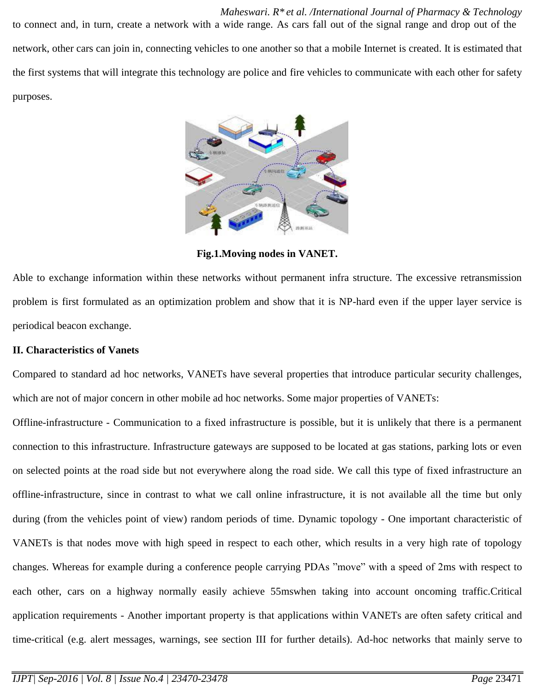*Maheswari. R\* et al. /International Journal of Pharmacy & Technology* to connect and, in turn, create a network with a wide range. As cars fall out of the signal range and drop out of the network, other cars can join in, connecting vehicles to one another so that a mobile Internet is created. It is estimated that the first systems that will integrate this technology are police and fire vehicles to communicate with each other for safety purposes.



**Fig.1.Moving nodes in VANET.**

Able to exchange information within these networks without permanent infra structure. The excessive retransmission problem is first formulated as an optimization problem and show that it is NP-hard even if the upper layer service is periodical beacon exchange.

### **II. Characteristics of Vanets**

Compared to standard ad hoc networks, VANETs have several properties that introduce particular security challenges, which are not of major concern in other mobile ad hoc networks. Some major properties of VANETs:

Offline-infrastructure - Communication to a fixed infrastructure is possible, but it is unlikely that there is a permanent connection to this infrastructure. Infrastructure gateways are supposed to be located at gas stations, parking lots or even on selected points at the road side but not everywhere along the road side. We call this type of fixed infrastructure an offline-infrastructure, since in contrast to what we call online infrastructure, it is not available all the time but only during (from the vehicles point of view) random periods of time. Dynamic topology - One important characteristic of VANETs is that nodes move with high speed in respect to each other, which results in a very high rate of topology changes. Whereas for example during a conference people carrying PDAs "move" with a speed of 2ms with respect to each other, cars on a highway normally easily achieve 55mswhen taking into account oncoming traffic.Critical application requirements - Another important property is that applications within VANETs are often safety critical and time-critical (e.g. alert messages, warnings, see section III for further details). Ad-hoc networks that mainly serve to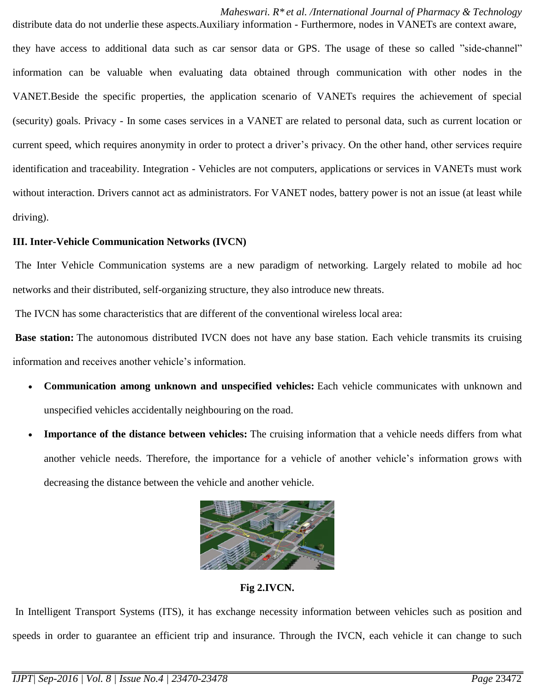*Maheswari. R\* et al. /International Journal of Pharmacy & Technology* distribute data do not underlie these aspects.Auxiliary information - Furthermore, nodes in VANETs are context aware,

they have access to additional data such as car sensor data or GPS. The usage of these so called "side-channel" information can be valuable when evaluating data obtained through communication with other nodes in the VANET.Beside the specific properties, the application scenario of VANETs requires the achievement of special (security) goals. Privacy - In some cases services in a VANET are related to personal data, such as current location or current speed, which requires anonymity in order to protect a driver's privacy. On the other hand, other services require identification and traceability. Integration - Vehicles are not computers, applications or services in VANETs must work without interaction. Drivers cannot act as administrators. For VANET nodes, battery power is not an issue (at least while driving).

#### **III. [Inter-Vehicle Communication Networks](http://comp.ist.utl.pt/~rmr/WSN/CaseStudies2007-no/WSN_Transportation/#Inter-Vehicle Communication Networks) (IVCN)**

The Inter Vehicle Communication systems are a new paradigm of networking. Largely related to mobile ad hoc networks and their distributed, self-organizing structure, they also introduce new threats.

The IVCN has some characteristics that are different of the conventional wireless local area:

**Base station:** The autonomous distributed IVCN does not have any base station. Each vehicle transmits its cruising information and receives another vehicle's information.

- **Communication among unknown and unspecified vehicles:** Each vehicle communicates with unknown and unspecified vehicles accidentally neighbouring on the road.
- **Importance of the distance between vehicles:** The cruising information that a vehicle needs differs from what another vehicle needs. Therefore, the importance for a vehicle of another vehicle's information grows with decreasing the distance between the vehicle and another vehicle.



**Fig 2.IVCN.**

In Intelligent Transport Systems (ITS), it has exchange necessity information between vehicles such as position and speeds in order to guarantee an efficient trip and insurance. Through the IVCN, each vehicle it can change to such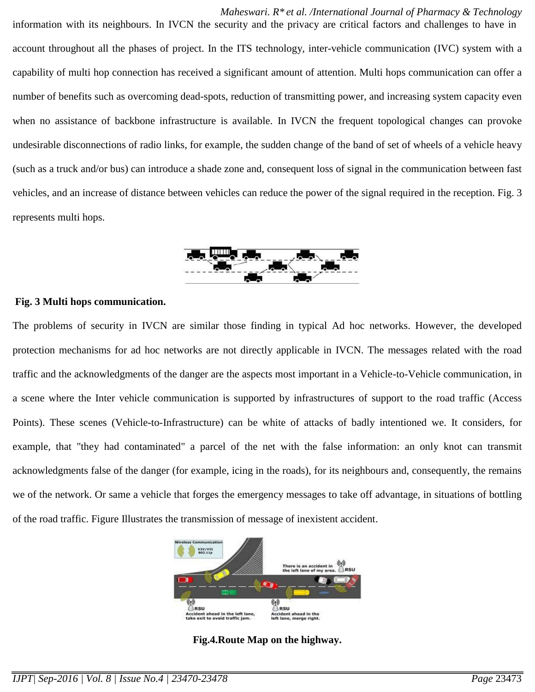*Maheswari. R\* et al. /International Journal of Pharmacy & Technology* information with its neighbours. In IVCN the security and the privacy are critical factors and challenges to have in account throughout all the phases of project. In the ITS technology, inter-vehicle communication (IVC) system with a capability of multi hop connection has received a significant amount of attention. Multi hops communication can offer a number of benefits such as overcoming dead-spots, reduction of transmitting power, and increasing system capacity even when no assistance of backbone infrastructure is available. In IVCN the frequent topological changes can provoke undesirable disconnections of radio links, for example, the sudden change of the band of set of wheels of a vehicle heavy (such as a truck and/or bus) can introduce a shade zone and, consequent loss of signal in the communication between fast vehicles, and an increase of distance between vehicles can reduce the power of the signal required in the reception. Fig. 3 represents multi hops.



#### **Fig. 3 Multi hops communication.**

The problems of security in IVCN are similar those finding in typical Ad hoc networks. However, the developed protection mechanisms for ad hoc networks are not directly applicable in IVCN. The messages related with the road traffic and the acknowledgments of the danger are the aspects most important in a Vehicle-to-Vehicle communication, in a scene where the Inter vehicle communication is supported by infrastructures of support to the road traffic (Access Points). These scenes (Vehicle-to-Infrastructure) can be white of attacks of badly intentioned we. It considers, for example, that "they had contaminated" a parcel of the net with the false information: an only knot can transmit acknowledgments false of the danger (for example, icing in the roads), for its neighbours and, consequently, the remains we of the network. Or same a vehicle that forges the emergency messages to take off advantage, in situations of bottling of the road traffic. Figure Illustrates the transmission of message of inexistent accident.



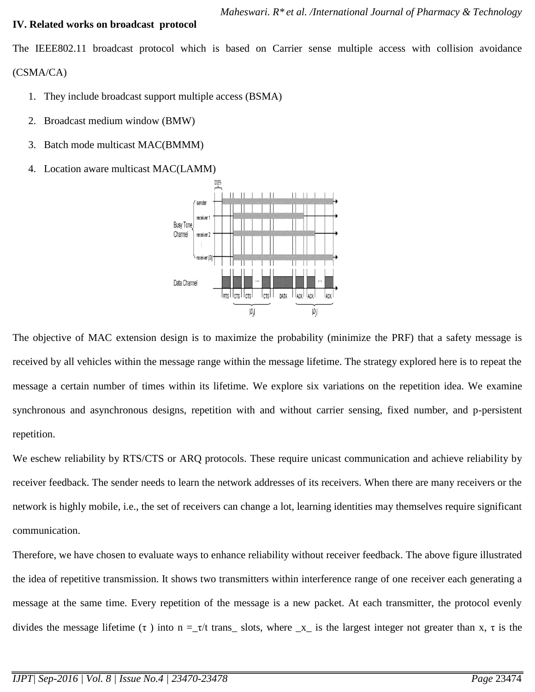#### **IV. Related works on broadcast protocol**

The IEEE802.11 broadcast protocol which is based on Carrier sense multiple access with collision avoidance (CSMA/CA)

- 1. They include broadcast support multiple access (BSMA)
- 2. Broadcast medium window (BMW)
- 3. Batch mode multicast MAC(BMMM)
- 4. Location aware multicast MAC(LAMM)



The objective of MAC extension design is to maximize the probability (minimize the PRF) that a safety message is received by all vehicles within the message range within the message lifetime. The strategy explored here is to repeat the message a certain number of times within its lifetime. We explore six variations on the repetition idea. We examine synchronous and asynchronous designs, repetition with and without carrier sensing, fixed number, and p-persistent repetition.

We eschew reliability by RTS/CTS or ARQ protocols. These require unicast communication and achieve reliability by receiver feedback. The sender needs to learn the network addresses of its receivers. When there are many receivers or the network is highly mobile, i.e., the set of receivers can change a lot, learning identities may themselves require significant communication.

Therefore, we have chosen to evaluate ways to enhance reliability without receiver feedback. The above figure illustrated the idea of repetitive transmission. It shows two transmitters within interference range of one receiver each generating a message at the same time. Every repetition of the message is a new packet. At each transmitter, the protocol evenly divides the message lifetime (τ) into  $n = \tau/t$  trans\_slots, where  $x$  is the largest integer not greater than x, τ is the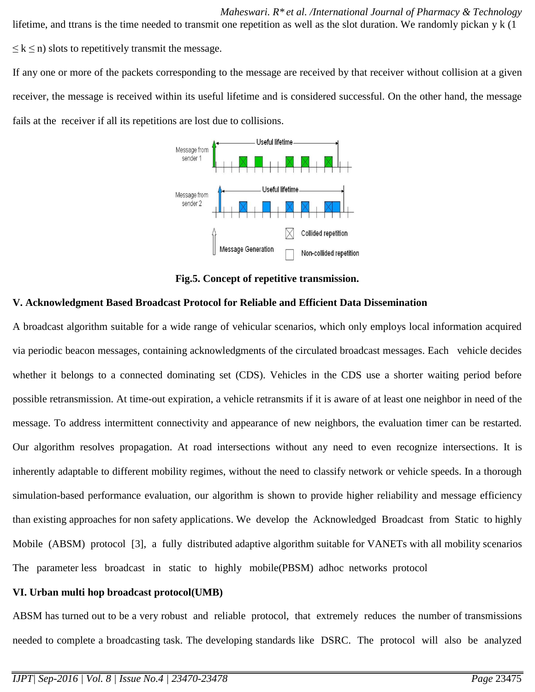*Maheswari. R\* et al. /International Journal of Pharmacy & Technology* lifetime, and ttrans is the time needed to transmit one repetition as well as the slot duration. We randomly pickan y k (1  $\leq$  k  $\leq$  n) slots to repetitively transmit the message.

If any one or more of the packets corresponding to the message are received by that receiver without collision at a given receiver, the message is received within its useful lifetime and is considered successful. On the other hand, the message fails at the receiver if all its repetitions are lost due to collisions.



**Fig.5. Concept of repetitive transmission.**

# **V. Acknowledgment Based Broadcast Protocol for Reliable and Efficient Data Dissemination**

A broadcast algorithm suitable for a wide range of vehicular scenarios, which only employs local information acquired via periodic beacon messages, containing acknowledgments of the circulated broadcast messages. Each vehicle decides whether it belongs to a connected dominating set (CDS). Vehicles in the CDS use a shorter waiting period before possible retransmission. At time-out expiration, a vehicle retransmits if it is aware of at least one neighbor in need of the message. To address intermittent connectivity and appearance of new neighbors, the evaluation timer can be restarted. Our algorithm resolves propagation. At road intersections without any need to even recognize intersections. It is inherently adaptable to different mobility regimes, without the need to classify network or vehicle speeds. In a thorough simulation-based performance evaluation, our algorithm is shown to provide higher reliability and message efficiency than existing approaches for non safety applications. We develop the Acknowledged Broadcast from Static to highly Mobile (ABSM) protocol [3], a fully distributed adaptive algorithm suitable for VANETs with all mobility scenarios The parameter less broadcast in static to highly mobile(PBSM) adhoc networks protocol

## **VI. Urban multi hop broadcast protocol(UMB)**

ABSM has turned out to be a very robust and reliable protocol, that extremely reduces the number of transmissions needed to complete a broadcasting task. The developing standards like DSRC. The protocol will also be analyzed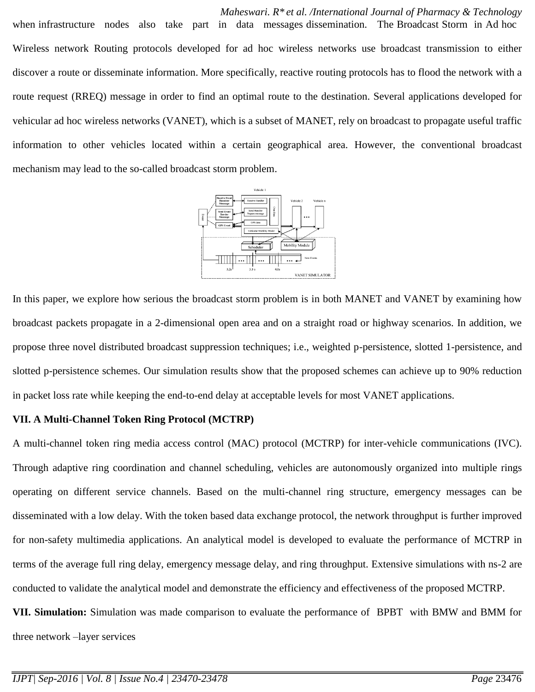*Maheswari. R\* et al. /International Journal of Pharmacy & Technology* when infrastructure nodes also take part in data messages dissemination. The Broadcast Storm in Ad hoc Wireless network Routing protocols developed for ad hoc wireless networks use broadcast transmission to either discover a route or disseminate information. More specifically, reactive routing protocols has to flood the network with a route request (RREQ) message in order to find an optimal route to the destination. Several applications developed for vehicular ad hoc wireless networks (VANET), which is a subset of MANET, rely on broadcast to propagate useful traffic information to other vehicles located within a certain geographical area. However, the conventional broadcast mechanism may lead to the so-called broadcast storm problem.



In this paper, we explore how serious the broadcast storm problem is in both MANET and VANET by examining how broadcast packets propagate in a 2-dimensional open area and on a straight road or highway scenarios. In addition, we propose three novel distributed broadcast suppression techniques; i.e., weighted p-persistence, slotted 1-persistence, and slotted p-persistence schemes. Our simulation results show that the proposed schemes can achieve up to 90% reduction in packet loss rate while keeping the end-to-end delay at acceptable levels for most VANET applications.

#### **VII. A Multi-Channel Token Ring Protocol (MCTRP)**

A multi-channel token ring media access control (MAC) protocol (MCTRP) for inter-vehicle communications (IVC). Through adaptive ring coordination and channel scheduling, vehicles are autonomously organized into multiple rings operating on different service channels. Based on the multi-channel ring structure, emergency messages can be disseminated with a low delay. With the token based data exchange protocol, the network throughput is further improved for non-safety multimedia applications. An analytical model is developed to evaluate the performance of MCTRP in terms of the average full ring delay, emergency message delay, and ring throughput. Extensive simulations with ns-2 are conducted to validate the analytical model and demonstrate the efficiency and effectiveness of the proposed MCTRP. **VII. Simulation:** Simulation was made comparison to evaluate the performance of BPBT with BMW and BMM for

three network –layer services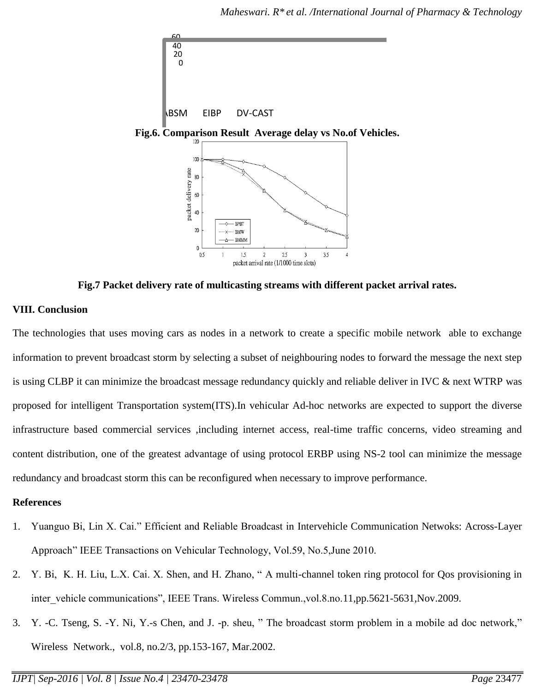

**Fig.7 Packet delivery rate of multicasting streams with different packet arrival rates.**

## **VIII. Conclusion**

The technologies that uses moving cars as nodes in a network to create a specific mobile network able to exchange information to prevent broadcast storm by selecting a subset of neighbouring nodes to forward the message the next step is using CLBP it can minimize the broadcast message redundancy quickly and reliable deliver in IVC & next WTRP was proposed for intelligent Transportation system(ITS).In vehicular Ad-hoc networks are expected to support the diverse infrastructure based commercial services ,including internet access, real-time traffic concerns, video streaming and content distribution, one of the greatest advantage of using protocol ERBP using NS-2 tool can minimize the message redundancy and broadcast storm this can be reconfigured when necessary to improve performance.

### **References**

- 1. Yuanguo Bi, Lin X. Cai." Efficient and Reliable Broadcast in Intervehicle Communication Netwoks: Across-Layer Approach" IEEE Transactions on Vehicular Technology, Vol.59, No.5,June 2010.
- 2. Y. Bi, K. H. Liu, L.X. Cai. X. Shen, and H. Zhano, " A multi-channel token ring protocol for Qos provisioning in inter vehicle communications", IEEE Trans. Wireless Commun.,vol.8.no.11,pp.5621-5631,Nov.2009.
- 3. Y. -C. Tseng, S. -Y. Ni, Y.-s Chen, and J. -p. sheu, " The broadcast storm problem in a mobile ad doc network," Wireless Network., vol.8, no.2/3, pp.153-167, Mar.2002.